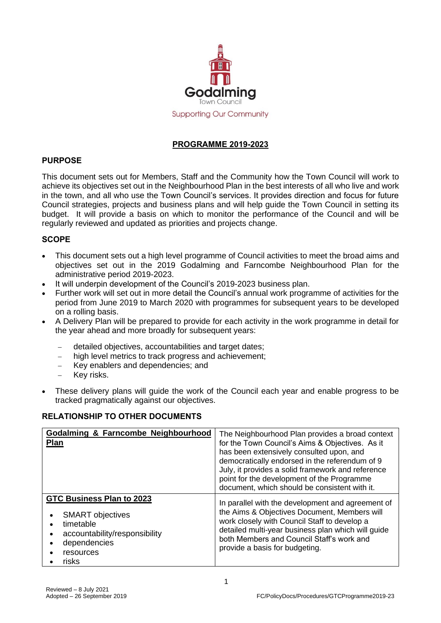

## **PROGRAMME 2019-2023**

## **PURPOSE**

This document sets out for Members, Staff and the Community how the Town Council will work to achieve its objectives set out in the Neighbourhood Plan in the best interests of all who live and work in the town, and all who use the Town Council's services. It provides direction and focus for future Council strategies, projects and business plans and will help guide the Town Council in setting its budget. It will provide a basis on which to monitor the performance of the Council and will be regularly reviewed and updated as priorities and projects change.

## **SCOPE**

- This document sets out a high level programme of Council activities to meet the broad aims and objectives set out in the 2019 Godalming and Farncombe Neighbourhood Plan for the administrative period 2019-2023.
- It will underpin development of the Council's 2019-2023 business plan.
- Further work will set out in more detail the Council's annual work programme of activities for the period from June 2019 to March 2020 with programmes for subsequent years to be developed on a rolling basis.
- A Delivery Plan will be prepared to provide for each activity in the work programme in detail for the year ahead and more broadly for subsequent years:
	- − detailed objectives, accountabilities and target dates;
	- high level metrics to track progress and achievement;
	- − Key enablers and dependencies; and
	- Key risks.
- These delivery plans will guide the work of the Council each year and enable progress to be tracked pragmatically against our objectives.

#### **RELATIONSHIP TO OTHER DOCUMENTS**

| Godalming & Farncombe Neighbourhood<br>Plan                                                                                                     | The Neighbourhood Plan provides a broad context<br>for the Town Council's Aims & Objectives. As it<br>has been extensively consulted upon, and<br>democratically endorsed in the referendum of 9<br>July, it provides a solid framework and reference<br>point for the development of the Programme<br>document, which should be consistent with it. |
|-------------------------------------------------------------------------------------------------------------------------------------------------|------------------------------------------------------------------------------------------------------------------------------------------------------------------------------------------------------------------------------------------------------------------------------------------------------------------------------------------------------|
| <b>GTC Business Plan to 2023</b><br><b>SMART</b> objectives<br>timetable<br>accountability/responsibility<br>dependencies<br>resources<br>risks | In parallel with the development and agreement of<br>the Aims & Objectives Document, Members will<br>work closely with Council Staff to develop a<br>detailed multi-year business plan which will guide<br>both Members and Council Staff's work and<br>provide a basis for budgeting.                                                               |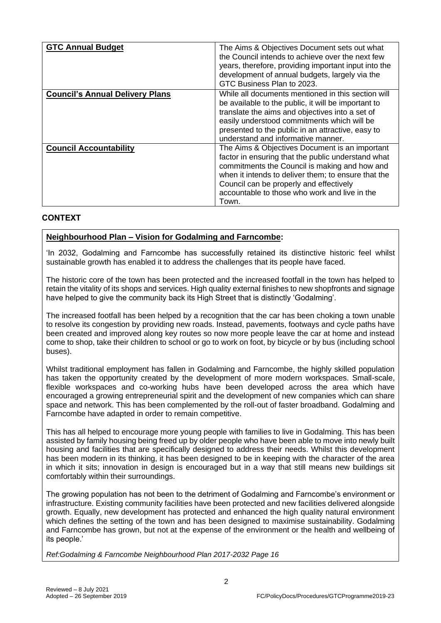| <b>GTC Annual Budget</b>               | The Aims & Objectives Document sets out what<br>the Council intends to achieve over the next few<br>years, therefore, providing important input into the<br>development of annual budgets, largely via the                                                                                                        |
|----------------------------------------|-------------------------------------------------------------------------------------------------------------------------------------------------------------------------------------------------------------------------------------------------------------------------------------------------------------------|
|                                        | GTC Business Plan to 2023.                                                                                                                                                                                                                                                                                        |
| <b>Council's Annual Delivery Plans</b> | While all documents mentioned in this section will<br>be available to the public, it will be important to<br>translate the aims and objectives into a set of<br>easily understood commitments which will be<br>presented to the public in an attractive, easy to<br>understand and informative manner.            |
| <b>Council Accountability</b>          | The Aims & Objectives Document is an important<br>factor in ensuring that the public understand what<br>commitments the Council is making and how and<br>when it intends to deliver them; to ensure that the<br>Council can be properly and effectively<br>accountable to those who work and live in the<br>Town. |

## **CONTEXT**

## **Neighbourhood Plan – Vision for Godalming and Farncombe:**

'In 2032, Godalming and Farncombe has successfully retained its distinctive historic feel whilst sustainable growth has enabled it to address the challenges that its people have faced.

The historic core of the town has been protected and the increased footfall in the town has helped to retain the vitality of its shops and services. High quality external finishes to new shopfronts and signage have helped to give the community back its High Street that is distinctly 'Godalming'.

The increased footfall has been helped by a recognition that the car has been choking a town unable to resolve its congestion by providing new roads. Instead, pavements, footways and cycle paths have been created and improved along key routes so now more people leave the car at home and instead come to shop, take their children to school or go to work on foot, by bicycle or by bus (including school buses).

Whilst traditional employment has fallen in Godalming and Farncombe, the highly skilled population has taken the opportunity created by the development of more modern workspaces. Small-scale, flexible workspaces and co-working hubs have been developed across the area which have encouraged a growing entrepreneurial spirit and the development of new companies which can share space and network. This has been complemented by the roll-out of faster broadband. Godalming and Farncombe have adapted in order to remain competitive.

This has all helped to encourage more young people with families to live in Godalming. This has been assisted by family housing being freed up by older people who have been able to move into newly built housing and facilities that are specifically designed to address their needs. Whilst this development has been modern in its thinking, it has been designed to be in keeping with the character of the area in which it sits; innovation in design is encouraged but in a way that still means new buildings sit comfortably within their surroundings.

The growing population has not been to the detriment of Godalming and Farncombe's environment or infrastructure. Existing community facilities have been protected and new facilities delivered alongside growth. Equally, new development has protected and enhanced the high quality natural environment which defines the setting of the town and has been designed to maximise sustainability. Godalming and Farncombe has grown, but not at the expense of the environment or the health and wellbeing of its people.'

*Ref:Godalming & Farncombe Neighbourhood Plan 2017-2032 Page 16*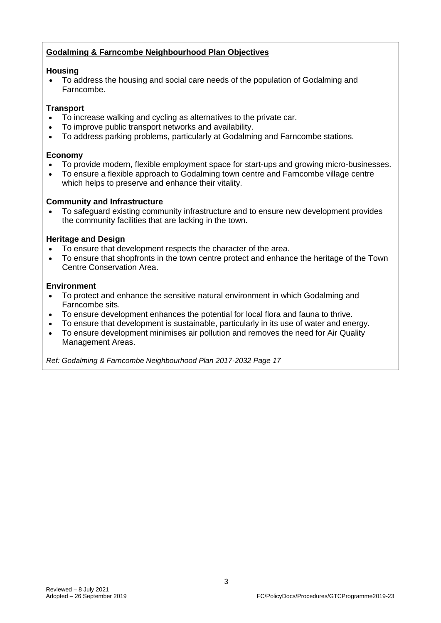# **Godalming & Farncombe Neighbourhood Plan Objectives**

### **Housing**

• To address the housing and social care needs of the population of Godalming and Farncombe.

## **Transport**

- To increase walking and cycling as alternatives to the private car.
- To improve public transport networks and availability.
- To address parking problems, particularly at Godalming and Farncombe stations.

### **Economy**

- To provide modern, flexible employment space for start-ups and growing micro-businesses.
- To ensure a flexible approach to Godalming town centre and Farncombe village centre which helps to preserve and enhance their vitality.

## **Community and Infrastructure**

• To safeguard existing community infrastructure and to ensure new development provides the community facilities that are lacking in the town.

## **Heritage and Design**

- To ensure that development respects the character of the area.
- To ensure that shopfronts in the town centre protect and enhance the heritage of the Town Centre Conservation Area.

#### **Environment**

- To protect and enhance the sensitive natural environment in which Godalming and Farncombe sits.
- To ensure development enhances the potential for local flora and fauna to thrive.
- To ensure that development is sustainable, particularly in its use of water and energy.
- To ensure development minimises air pollution and removes the need for Air Quality Management Areas.

*Ref: Godalming & Farncombe Neighbourhood Plan 2017-2032 Page 17*

3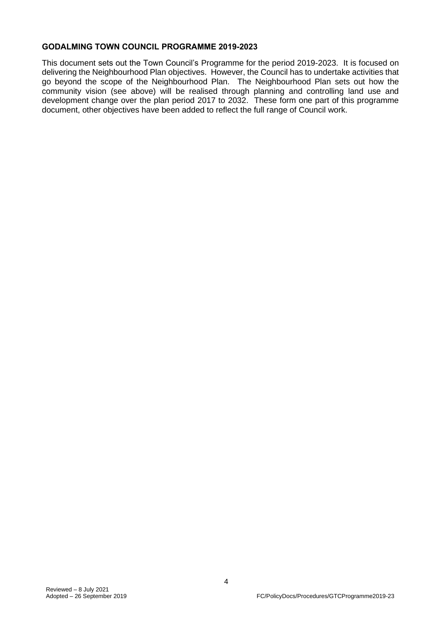#### **GODALMING TOWN COUNCIL PROGRAMME 2019-2023**

This document sets out the Town Council's Programme for the period 2019-2023. It is focused on delivering the Neighbourhood Plan objectives. However, the Council has to undertake activities that go beyond the scope of the Neighbourhood Plan. The Neighbourhood Plan sets out how the community vision (see above) will be realised through planning and controlling land use and development change over the plan period 2017 to 2032. These form one part of this programme document, other objectives have been added to reflect the full range of Council work.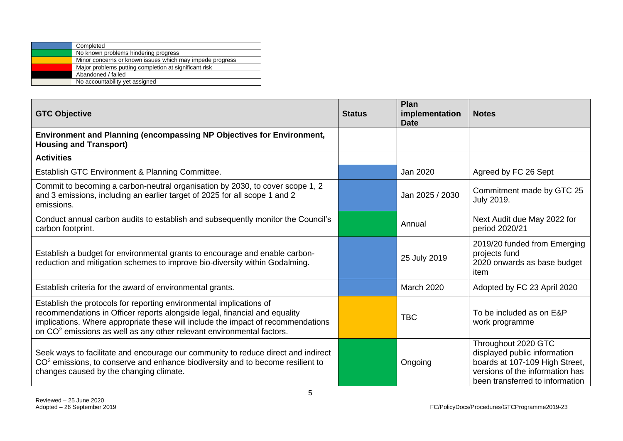| Completed                                                |
|----------------------------------------------------------|
| No known problems hindering progress                     |
| Minor concerns or known issues which may impede progress |
| Major problems putting completion at significant risk    |
| Abandoned / failed                                       |
| No accountability yet assigned                           |

| <b>GTC Objective</b>                                                                                                                                                                                                                                                                                                       | <b>Status</b> | Plan<br>implementation<br><b>Date</b> | <b>Notes</b>                                                                                                                                                |
|----------------------------------------------------------------------------------------------------------------------------------------------------------------------------------------------------------------------------------------------------------------------------------------------------------------------------|---------------|---------------------------------------|-------------------------------------------------------------------------------------------------------------------------------------------------------------|
| <b>Environment and Planning (encompassing NP Objectives for Environment,</b><br><b>Housing and Transport)</b>                                                                                                                                                                                                              |               |                                       |                                                                                                                                                             |
| <b>Activities</b>                                                                                                                                                                                                                                                                                                          |               |                                       |                                                                                                                                                             |
| Establish GTC Environment & Planning Committee.                                                                                                                                                                                                                                                                            |               | Jan 2020                              | Agreed by FC 26 Sept                                                                                                                                        |
| Commit to becoming a carbon-neutral organisation by 2030, to cover scope 1, 2<br>and 3 emissions, including an earlier target of 2025 for all scope 1 and 2<br>emissions.                                                                                                                                                  |               | Jan 2025 / 2030                       | Commitment made by GTC 25<br><b>July 2019.</b>                                                                                                              |
| Conduct annual carbon audits to establish and subsequently monitor the Council's<br>carbon footprint.                                                                                                                                                                                                                      |               | Annual                                | Next Audit due May 2022 for<br>period 2020/21                                                                                                               |
| Establish a budget for environmental grants to encourage and enable carbon-<br>reduction and mitigation schemes to improve bio-diversity within Godalming.                                                                                                                                                                 |               | 25 July 2019                          | 2019/20 funded from Emerging<br>projects fund<br>2020 onwards as base budget<br>item                                                                        |
| Establish criteria for the award of environmental grants.                                                                                                                                                                                                                                                                  |               | <b>March 2020</b>                     | Adopted by FC 23 April 2020                                                                                                                                 |
| Establish the protocols for reporting environmental implications of<br>recommendations in Officer reports alongside legal, financial and equality<br>implications. Where appropriate these will include the impact of recommendations<br>on CO <sup>2</sup> emissions as well as any other relevant environmental factors. |               | <b>TBC</b>                            | To be included as on E&P<br>work programme                                                                                                                  |
| Seek ways to facilitate and encourage our community to reduce direct and indirect<br>CO <sup>2</sup> emissions, to conserve and enhance biodiversity and to become resilient to<br>changes caused by the changing climate.                                                                                                 |               | Ongoing                               | Throughout 2020 GTC<br>displayed public information<br>boards at 107-109 High Street,<br>versions of the information has<br>been transferred to information |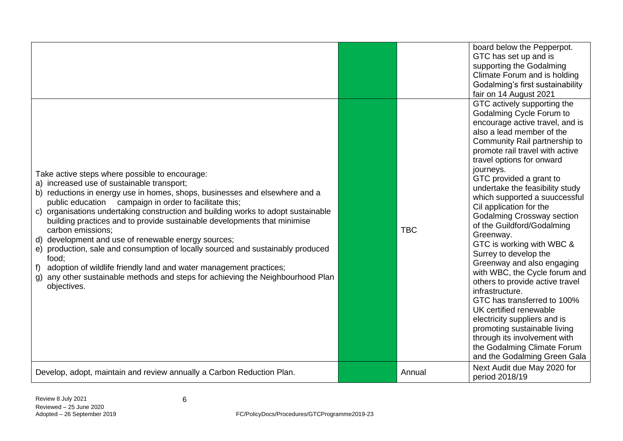|                                                                                                                                                                                                                                                                                                                                                                                                                                                                                                                                                                                                                                                                                                                                                                    |            | board below the Pepperpot.<br>GTC has set up and is<br>supporting the Godalming<br>Climate Forum and is holding<br>Godalming's first sustainability<br>fair on 14 August 2021                                                                                                                                                                                                                                                                                                                                                                                                                                                                                                                                                                                                                                                                      |
|--------------------------------------------------------------------------------------------------------------------------------------------------------------------------------------------------------------------------------------------------------------------------------------------------------------------------------------------------------------------------------------------------------------------------------------------------------------------------------------------------------------------------------------------------------------------------------------------------------------------------------------------------------------------------------------------------------------------------------------------------------------------|------------|----------------------------------------------------------------------------------------------------------------------------------------------------------------------------------------------------------------------------------------------------------------------------------------------------------------------------------------------------------------------------------------------------------------------------------------------------------------------------------------------------------------------------------------------------------------------------------------------------------------------------------------------------------------------------------------------------------------------------------------------------------------------------------------------------------------------------------------------------|
| Take active steps where possible to encourage:<br>a) increased use of sustainable transport;<br>b) reductions in energy use in homes, shops, businesses and elsewhere and a<br>public education campaign in order to facilitate this;<br>c) organisations undertaking construction and building works to adopt sustainable<br>building practices and to provide sustainable developments that minimise<br>carbon emissions;<br>d) development and use of renewable energy sources;<br>production, sale and consumption of locally sourced and sustainably produced<br>e)<br>food;<br>adoption of wildlife friendly land and water management practices;<br>f)<br>any other sustainable methods and steps for achieving the Neighbourhood Plan<br>g)<br>objectives. | <b>TBC</b> | GTC actively supporting the<br>Godalming Cycle Forum to<br>encourage active travel, and is<br>also a lead member of the<br>Community Rail partnership to<br>promote rail travel with active<br>travel options for onward<br>journeys.<br>GTC provided a grant to<br>undertake the feasibility study<br>which supported a suuccessful<br>Cil application for the<br><b>Godalming Crossway section</b><br>of the Guildford/Godalming<br>Greenway.<br>GTC is working with WBC &<br>Surrey to develop the<br>Greenway and also engaging<br>with WBC, the Cycle forum and<br>others to provide active travel<br>infrastructure.<br>GTC has transferred to 100%<br>UK certified renewable<br>electricity suppliers and is<br>promoting sustainable living<br>through its involvement with<br>the Godalming Climate Forum<br>and the Godalming Green Gala |
| Develop, adopt, maintain and review annually a Carbon Reduction Plan.                                                                                                                                                                                                                                                                                                                                                                                                                                                                                                                                                                                                                                                                                              | Annual     | Next Audit due May 2020 for<br>period 2018/19                                                                                                                                                                                                                                                                                                                                                                                                                                                                                                                                                                                                                                                                                                                                                                                                      |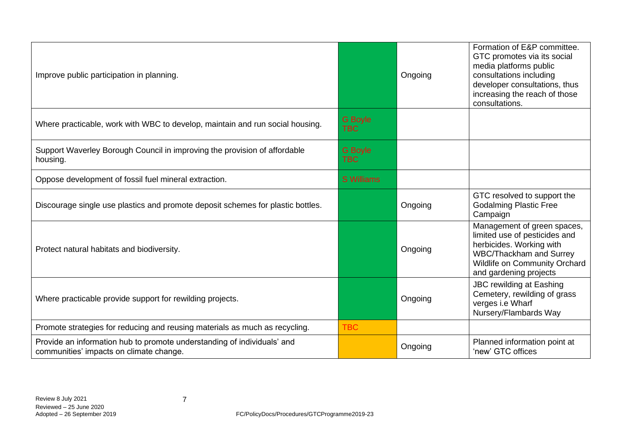| Improve public participation in planning.                                                                          |                              | Ongoing | Formation of E&P committee.<br>GTC promotes via its social<br>media platforms public<br>consultations including<br>developer consultations, thus<br>increasing the reach of those<br>consultations. |
|--------------------------------------------------------------------------------------------------------------------|------------------------------|---------|-----------------------------------------------------------------------------------------------------------------------------------------------------------------------------------------------------|
| Where practicable, work with WBC to develop, maintain and run social housing.                                      | <b>G</b> Boyle<br><b>TBC</b> |         |                                                                                                                                                                                                     |
| Support Waverley Borough Council in improving the provision of affordable<br>housing.                              | <b>G</b> Boyle<br><b>TBC</b> |         |                                                                                                                                                                                                     |
| Oppose development of fossil fuel mineral extraction.                                                              | <b>S</b> Williams            |         |                                                                                                                                                                                                     |
| Discourage single use plastics and promote deposit schemes for plastic bottles.                                    |                              | Ongoing | GTC resolved to support the<br><b>Godalming Plastic Free</b><br>Campaign                                                                                                                            |
| Protect natural habitats and biodiversity.                                                                         |                              | Ongoing | Management of green spaces,<br>limited use of pesticides and<br>herbicides. Working with<br>WBC/Thackham and Surrey<br>Wildlife on Community Orchard<br>and gardening projects                      |
| Where practicable provide support for rewilding projects.                                                          |                              | Ongoing | <b>JBC rewilding at Eashing</b><br>Cemetery, rewilding of grass<br>verges i.e Wharf<br>Nursery/Flambards Way                                                                                        |
| Promote strategies for reducing and reusing materials as much as recycling.                                        | <b>TBC</b>                   |         |                                                                                                                                                                                                     |
| Provide an information hub to promote understanding of individuals' and<br>communities' impacts on climate change. |                              | Ongoing | Planned information point at<br>'new' GTC offices                                                                                                                                                   |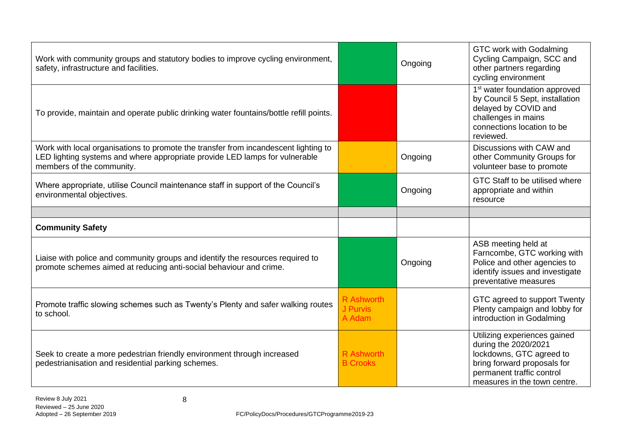| Work with community groups and statutory bodies to improve cycling environment,<br>safety, infrastructure and facilities.                                                                       |                                         | Ongoing | GTC work with Godalming<br>Cycling Campaign, SCC and<br>other partners regarding<br>cycling environment                                                                      |
|-------------------------------------------------------------------------------------------------------------------------------------------------------------------------------------------------|-----------------------------------------|---------|------------------------------------------------------------------------------------------------------------------------------------------------------------------------------|
| To provide, maintain and operate public drinking water fountains/bottle refill points.                                                                                                          |                                         |         | 1 <sup>st</sup> water foundation approved<br>by Council 5 Sept, installation<br>delayed by COVID and<br>challenges in mains<br>connections location to be<br>reviewed.       |
| Work with local organisations to promote the transfer from incandescent lighting to<br>LED lighting systems and where appropriate provide LED lamps for vulnerable<br>members of the community. |                                         | Ongoing | Discussions with CAW and<br>other Community Groups for<br>volunteer base to promote                                                                                          |
| Where appropriate, utilise Council maintenance staff in support of the Council's<br>environmental objectives.                                                                                   |                                         | Ongoing | GTC Staff to be utilised where<br>appropriate and within<br>resource                                                                                                         |
|                                                                                                                                                                                                 |                                         |         |                                                                                                                                                                              |
| <b>Community Safety</b>                                                                                                                                                                         |                                         |         |                                                                                                                                                                              |
| Liaise with police and community groups and identify the resources required to<br>promote schemes aimed at reducing anti-social behaviour and crime.                                            |                                         | Ongoing | ASB meeting held at<br>Farncombe, GTC working with<br>Police and other agencies to<br>identify issues and investigate<br>preventative measures                               |
| Promote traffic slowing schemes such as Twenty's Plenty and safer walking routes<br>to school.                                                                                                  | <b>R</b> Ashworth<br>J Purvis<br>A Adam |         | GTC agreed to support Twenty<br>Plenty campaign and lobby for<br>introduction in Godalming                                                                                   |
| Seek to create a more pedestrian friendly environment through increased<br>pedestrianisation and residential parking schemes.                                                                   | R Ashworth<br><b>B Crooks</b>           |         | Utilizing experiences gained<br>during the 2020/2021<br>lockdowns, GTC agreed to<br>bring forward proposals for<br>permanent traffic control<br>measures in the town centre. |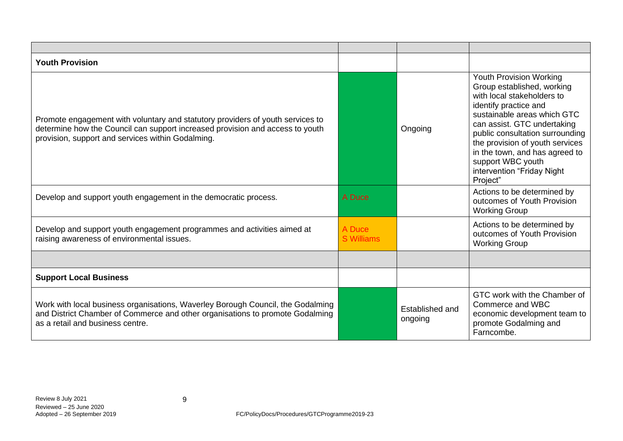| <b>Youth Provision</b>                                                                                                                                                                                               |                             |                            |                                                                                                                                                                                                                                                                                                                                                   |
|----------------------------------------------------------------------------------------------------------------------------------------------------------------------------------------------------------------------|-----------------------------|----------------------------|---------------------------------------------------------------------------------------------------------------------------------------------------------------------------------------------------------------------------------------------------------------------------------------------------------------------------------------------------|
| Promote engagement with voluntary and statutory providers of youth services to<br>determine how the Council can support increased provision and access to youth<br>provision, support and services within Godalming. |                             | Ongoing                    | Youth Provision Working<br>Group established, working<br>with local stakeholders to<br>identify practice and<br>sustainable areas which GTC<br>can assist. GTC undertaking<br>public consultation surrounding<br>the provision of youth services<br>in the town, and has agreed to<br>support WBC youth<br>intervention "Friday Night<br>Project" |
| Develop and support youth engagement in the democratic process.                                                                                                                                                      | A Duce                      |                            | Actions to be determined by<br>outcomes of Youth Provision<br><b>Working Group</b>                                                                                                                                                                                                                                                                |
| Develop and support youth engagement programmes and activities aimed at<br>raising awareness of environmental issues.                                                                                                | A Duce<br><b>S</b> Williams |                            | Actions to be determined by<br>outcomes of Youth Provision<br><b>Working Group</b>                                                                                                                                                                                                                                                                |
|                                                                                                                                                                                                                      |                             |                            |                                                                                                                                                                                                                                                                                                                                                   |
| <b>Support Local Business</b>                                                                                                                                                                                        |                             |                            |                                                                                                                                                                                                                                                                                                                                                   |
| Work with local business organisations, Waverley Borough Council, the Godalming<br>and District Chamber of Commerce and other organisations to promote Godalming<br>as a retail and business centre.                 |                             | Established and<br>ongoing | GTC work with the Chamber of<br>Commerce and WBC<br>economic development team to<br>promote Godalming and<br>Farncombe.                                                                                                                                                                                                                           |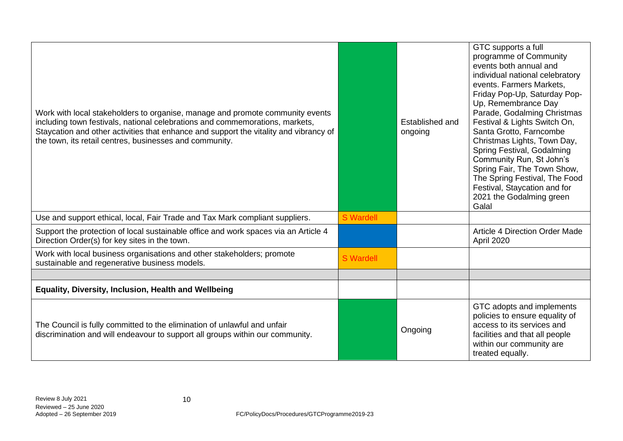| Work with local stakeholders to organise, manage and promote community events<br>including town festivals, national celebrations and commemorations, markets,<br>Staycation and other activities that enhance and support the vitality and vibrancy of<br>the town, its retail centres, businesses and community. |                  | Established and<br>ongoing | GTC supports a full<br>programme of Community<br>events both annual and<br>individual national celebratory<br>events. Farmers Markets,<br>Friday Pop-Up, Saturday Pop-<br>Up, Remembrance Day<br>Parade, Godalming Christmas<br>Festival & Lights Switch On,<br>Santa Grotto, Farncombe<br>Christmas Lights, Town Day,<br>Spring Festival, Godalming<br>Community Run, St John's<br>Spring Fair, The Town Show,<br>The Spring Festival, The Food<br>Festival, Staycation and for<br>2021 the Godalming green<br>Galal |
|-------------------------------------------------------------------------------------------------------------------------------------------------------------------------------------------------------------------------------------------------------------------------------------------------------------------|------------------|----------------------------|-----------------------------------------------------------------------------------------------------------------------------------------------------------------------------------------------------------------------------------------------------------------------------------------------------------------------------------------------------------------------------------------------------------------------------------------------------------------------------------------------------------------------|
| Use and support ethical, local, Fair Trade and Tax Mark compliant suppliers.                                                                                                                                                                                                                                      | <b>S</b> Wardell |                            |                                                                                                                                                                                                                                                                                                                                                                                                                                                                                                                       |
| Support the protection of local sustainable office and work spaces via an Article 4<br>Direction Order(s) for key sites in the town.                                                                                                                                                                              |                  |                            | <b>Article 4 Direction Order Made</b><br>April 2020                                                                                                                                                                                                                                                                                                                                                                                                                                                                   |
| Work with local business organisations and other stakeholders; promote<br>sustainable and regenerative business models.                                                                                                                                                                                           | <b>S</b> Wardell |                            |                                                                                                                                                                                                                                                                                                                                                                                                                                                                                                                       |
|                                                                                                                                                                                                                                                                                                                   |                  |                            |                                                                                                                                                                                                                                                                                                                                                                                                                                                                                                                       |
| Equality, Diversity, Inclusion, Health and Wellbeing                                                                                                                                                                                                                                                              |                  |                            |                                                                                                                                                                                                                                                                                                                                                                                                                                                                                                                       |
| The Council is fully committed to the elimination of unlawful and unfair<br>discrimination and will endeavour to support all groups within our community.                                                                                                                                                         |                  | Ongoing                    | GTC adopts and implements<br>policies to ensure equality of<br>access to its services and<br>facilities and that all people<br>within our community are<br>treated equally.                                                                                                                                                                                                                                                                                                                                           |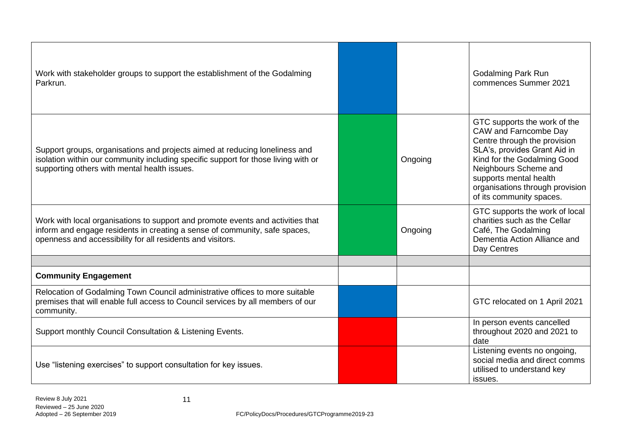| Work with stakeholder groups to support the establishment of the Godalming<br>Parkrun.                                                                                                                                      |         | <b>Godalming Park Run</b><br>commences Summer 2021                                                                                                                                                                                                                     |
|-----------------------------------------------------------------------------------------------------------------------------------------------------------------------------------------------------------------------------|---------|------------------------------------------------------------------------------------------------------------------------------------------------------------------------------------------------------------------------------------------------------------------------|
| Support groups, organisations and projects aimed at reducing loneliness and<br>isolation within our community including specific support for those living with or<br>supporting others with mental health issues.           | Ongoing | GTC supports the work of the<br>CAW and Farncombe Day<br>Centre through the provision<br>SLA's, provides Grant Aid in<br>Kind for the Godalming Good<br>Neighbours Scheme and<br>supports mental health<br>organisations through provision<br>of its community spaces. |
| Work with local organisations to support and promote events and activities that<br>inform and engage residents in creating a sense of community, safe spaces,<br>openness and accessibility for all residents and visitors. | Ongoing | GTC supports the work of local<br>charities such as the Cellar<br>Café, The Godalming<br>Dementia Action Alliance and<br>Day Centres                                                                                                                                   |
|                                                                                                                                                                                                                             |         |                                                                                                                                                                                                                                                                        |
| <b>Community Engagement</b>                                                                                                                                                                                                 |         |                                                                                                                                                                                                                                                                        |
| Relocation of Godalming Town Council administrative offices to more suitable<br>premises that will enable full access to Council services by all members of our<br>community.                                               |         | GTC relocated on 1 April 2021                                                                                                                                                                                                                                          |
| Support monthly Council Consultation & Listening Events.                                                                                                                                                                    |         | In person events cancelled<br>throughout 2020 and 2021 to<br>date                                                                                                                                                                                                      |
| Use "listening exercises" to support consultation for key issues.                                                                                                                                                           |         | Listening events no ongoing,<br>social media and direct comms<br>utilised to understand key<br>issues.                                                                                                                                                                 |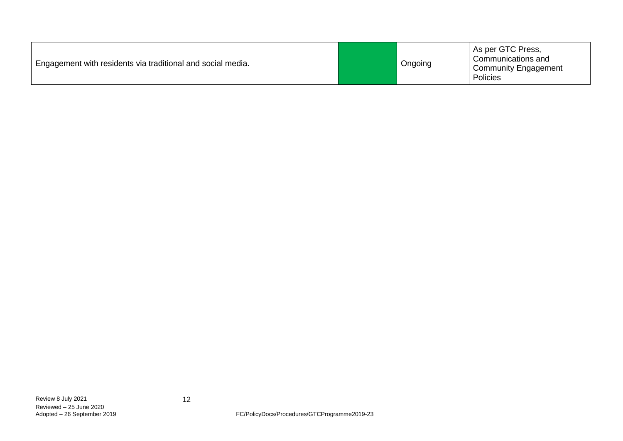| Engagement with residents via traditional and social media. |  | Ongoing | As per GTC Press,<br>Communications and<br><b>Community Engagement</b><br>Policies |
|-------------------------------------------------------------|--|---------|------------------------------------------------------------------------------------|
|-------------------------------------------------------------|--|---------|------------------------------------------------------------------------------------|